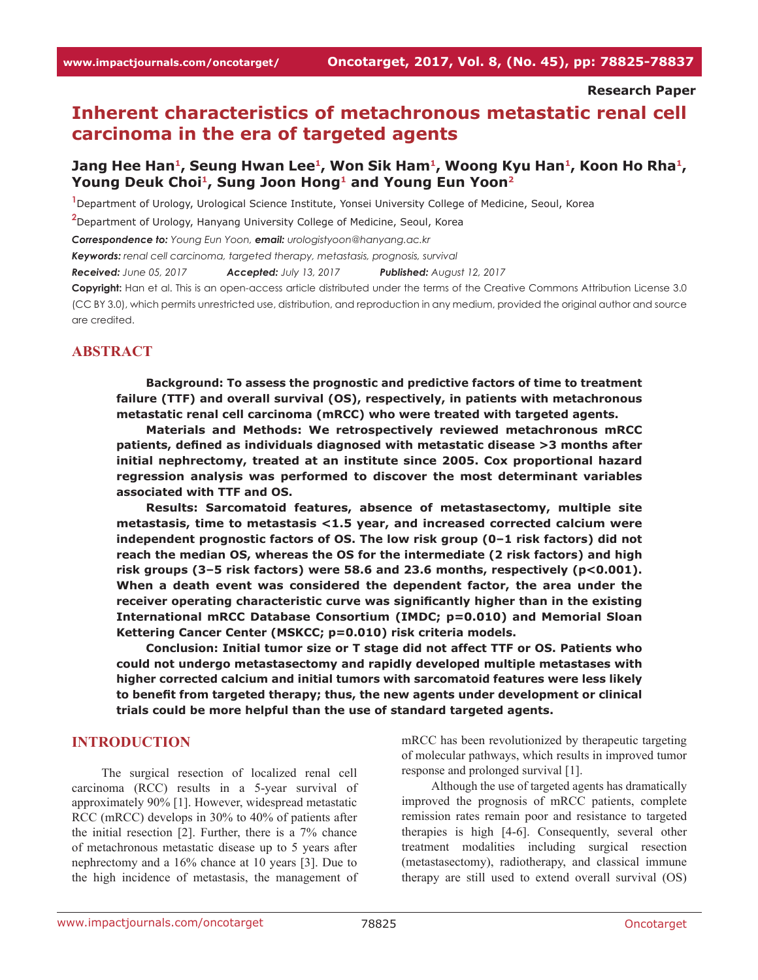**Research Paper**

# **Inherent characteristics of metachronous metastatic renal cell carcinoma in the era of targeted agents**

## Jang Hee Han<sup>1</sup>, Seung Hwan Lee<sup>1</sup>, Won Sik Ham<sup>1</sup>, Woong Kyu Han<sup>1</sup>, Koon Ho Rha<sup>1</sup>, Young Deuk Choi<sup>1</sup>, Sung Joon Hong<sup>1</sup> and Young Eun Yoon<sup>2</sup>

**1** Department of Urology, Urological Science Institute, Yonsei University College of Medicine, Seoul, Korea

**2** Department of Urology, Hanyang University College of Medicine, Seoul, Korea

*Correspondence to: Young Eun Yoon, email: urologistyoon@hanyang.ac.kr*

*Keywords: renal cell carcinoma, targeted therapy, metastasis, prognosis, survival*

*Received: June 05, 2017 Accepted: July 13, 2017 Published: August 12, 2017*

**Copyright:** Han et al. This is an open-access article distributed under the terms of the Creative Commons Attribution License 3.0 (CC BY 3.0), which permits unrestricted use, distribution, and reproduction in any medium, provided the original author and source are credited.

#### **ABSTRACT**

**Background: To assess the prognostic and predictive factors of time to treatment failure (TTF) and overall survival (OS), respectively, in patients with metachronous metastatic renal cell carcinoma (mRCC) who were treated with targeted agents.**

**Materials and Methods: We retrospectively reviewed metachronous mRCC patients, defined as individuals diagnosed with metastatic disease >3 months after initial nephrectomy, treated at an institute since 2005. Cox proportional hazard regression analysis was performed to discover the most determinant variables associated with TTF and OS.**

**Results: Sarcomatoid features, absence of metastasectomy, multiple site metastasis, time to metastasis <1.5 year, and increased corrected calcium were independent prognostic factors of OS. The low risk group (0–1 risk factors) did not reach the median OS, whereas the OS for the intermediate (2 risk factors) and high risk groups (3–5 risk factors) were 58.6 and 23.6 months, respectively (p<0.001). When a death event was considered the dependent factor, the area under the receiver operating characteristic curve was significantly higher than in the existing International mRCC Database Consortium (IMDC; p=0.010) and Memorial Sloan Kettering Cancer Center (MSKCC; p=0.010) risk criteria models.**

**Conclusion: Initial tumor size or T stage did not affect TTF or OS. Patients who could not undergo metastasectomy and rapidly developed multiple metastases with higher corrected calcium and initial tumors with sarcomatoid features were less likely to benefit from targeted therapy; thus, the new agents under development or clinical trials could be more helpful than the use of standard targeted agents.**

#### **INTRODUCTION**

The surgical resection of localized renal cell carcinoma (RCC) results in a 5-year survival of approximately 90% [1]. However, widespread metastatic RCC (mRCC) develops in 30% to 40% of patients after the initial resection [2]. Further, there is a 7% chance of metachronous metastatic disease up to 5 years after nephrectomy and a 16% chance at 10 years [3]. Due to the high incidence of metastasis, the management of

mRCC has been revolutionized by therapeutic targeting of molecular pathways, which results in improved tumor response and prolonged survival [1].

Although the use of targeted agents has dramatically improved the prognosis of mRCC patients, complete remission rates remain poor and resistance to targeted therapies is high [4-6]. Consequently, several other treatment modalities including surgical resection (metastasectomy), radiotherapy, and classical immune therapy are still used to extend overall survival (OS)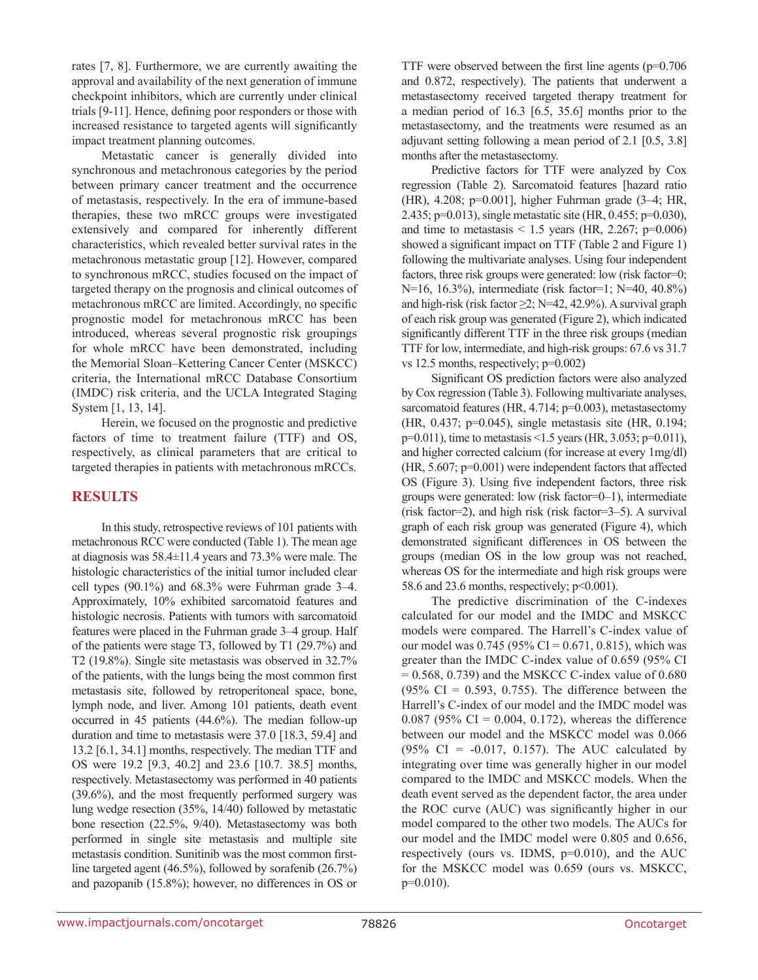rates [7, 8]. Furthermore, we are currently awaiting the approval and availability of the next generation of immune checkpoint inhibitors, which are currently under clinical trials [9-11]. Hence, defining poor responders or those with increased resistance to targeted agents will significantly impact treatment planning outcomes.

Metastatic cancer is generally divided into synchronous and metachronous categories by the period between primary cancer treatment and the occurrence of metastasis, respectively. In the era of immune-based therapies, these two mRCC groups were investigated extensively and compared for inherently different characteristics, which revealed better survival rates in the metachronous metastatic group [12]. However, compared to synchronous mRCC, studies focused on the impact of targeted therapy on the prognosis and clinical outcomes of metachronous mRCC are limited. Accordingly, no specific prognostic model for metachronous mRCC has been introduced, whereas several prognostic risk groupings for whole mRCC have been demonstrated, including the Memorial Sloan–Kettering Cancer Center (MSKCC) criteria, the International mRCC Database Consortium (IMDC) risk criteria, and the UCLA Integrated Staging System [1, 13, 14].

Herein, we focused on the prognostic and predictive factors of time to treatment failure (TTF) and OS, respectively, as clinical parameters that are critical to targeted therapies in patients with metachronous mRCCs.

#### **RESULTS**

In this study, retrospective reviews of 101 patients with metachronous RCC were conducted (Table 1). The mean age at diagnosis was 58.4±11.4 years and 73.3% were male. The histologic characteristics of the initial tumor included clear cell types (90.1%) and 68.3% were Fuhrman grade 3–4. Approximately, 10% exhibited sarcomatoid features and histologic necrosis. Patients with tumors with sarcomatoid features were placed in the Fuhrman grade 3–4 group. Half of the patients were stage T3, followed by T1 (29.7%) and T2 (19.8%). Single site metastasis was observed in 32.7% of the patients, with the lungs being the most common first metastasis site, followed by retroperitoneal space, bone, lymph node, and liver. Among 101 patients, death event occurred in 45 patients (44.6%). The median follow-up duration and time to metastasis were 37.0 [18.3, 59.4] and 13.2 [6.1, 34.1] months, respectively. The median TTF and OS were 19.2 [9.3, 40.2] and 23.6 [10.7. 38.5] months, respectively. Metastasectomy was performed in 40 patients (39.6%), and the most frequently performed surgery was lung wedge resection (35%, 14/40) followed by metastatic bone resection (22.5%, 9/40). Metastasectomy was both performed in single site metastasis and multiple site metastasis condition. Sunitinib was the most common firstline targeted agent (46.5%), followed by sorafenib (26.7%) and pazopanib (15.8%); however, no differences in OS or

TTF were observed between the first line agents (p=0.706 and 0.872, respectively). The patients that underwent a metastasectomy received targeted therapy treatment for a median period of 16.3 [6.5, 35.6] months prior to the metastasectomy, and the treatments were resumed as an adjuvant setting following a mean period of 2.1 [0.5, 3.8] months after the metastasectomy.

Predictive factors for TTF were analyzed by Cox regression (Table 2). Sarcomatoid features [hazard ratio (HR), 4.208; p=0.001], higher Fuhrman grade (3–4; HR, 2.435; p=0.013), single metastatic site (HR, 0.455; p=0.030), and time to metastasis  $\leq 1.5$  years (HR, 2.267; p=0.006) showed a significant impact on TTF (Table 2 and Figure 1) following the multivariate analyses. Using four independent factors, three risk groups were generated: low (risk factor=0; N=16, 16.3%), intermediate (risk factor=1; N=40, 40.8%) and high-risk (risk factor  $\geq$ 2; N=42, 42.9%). A survival graph of each risk group was generated (Figure 2), which indicated significantly different TTF in the three risk groups (median TTF for low, intermediate, and high-risk groups: 67.6 vs 31.7 vs 12.5 months, respectively; p=0.002)

Significant OS prediction factors were also analyzed by Cox regression (Table 3). Following multivariate analyses, sarcomatoid features (HR, 4.714; p=0.003), metastasectomy (HR, 0.437; p=0.045), single metastasis site (HR, 0.194; p=0.011), time to metastasis <1.5 years (HR, 3.053; p=0.011), and higher corrected calcium (for increase at every 1mg/dl) (HR, 5.607; p=0.001) were independent factors that affected OS (Figure 3). Using five independent factors, three risk groups were generated: low (risk factor=0–1), intermediate (risk factor=2), and high risk (risk factor=3–5). A survival graph of each risk group was generated (Figure 4), which demonstrated significant differences in OS between the groups (median OS in the low group was not reached, whereas OS for the intermediate and high risk groups were 58.6 and 23.6 months, respectively; p<0.001).

The predictive discrimination of the C-indexes calculated for our model and the IMDC and MSKCC models were compared. The Harrell's C-index value of our model was  $0.745$  (95% CI = 0.671, 0.815), which was greater than the IMDC C-index value of 0.659 (95% CI  $= 0.568$ , 0.739) and the MSKCC C-index value of 0.680  $(95\% \text{ CI} = 0.593, 0.755)$ . The difference between the Harrell's C-index of our model and the IMDC model was 0.087 (95% CI = 0.004, 0.172), whereas the difference between our model and the MSKCC model was 0.066 (95% CI =  $-0.017$ , 0.157). The AUC calculated by integrating over time was generally higher in our model compared to the IMDC and MSKCC models. When the death event served as the dependent factor, the area under the ROC curve (AUC) was significantly higher in our model compared to the other two models. The AUCs for our model and the IMDC model were 0.805 and 0.656, respectively (ours vs. IDMS, p=0.010), and the AUC for the MSKCC model was 0.659 (ours vs. MSKCC, p=0.010).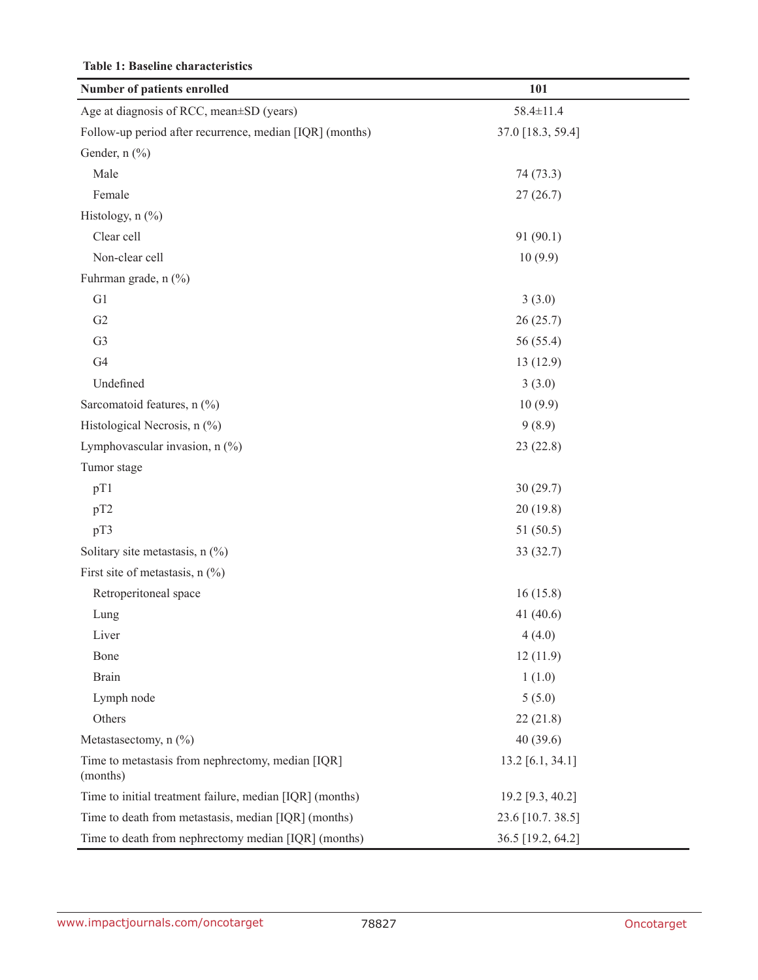| Number of patients enrolled                                   | 101               |
|---------------------------------------------------------------|-------------------|
| Age at diagnosis of RCC, mean±SD (years)                      | $58.4 \pm 11.4$   |
| Follow-up period after recurrence, median [IQR] (months)      | 37.0 [18.3, 59.4] |
| Gender, n (%)                                                 |                   |
| Male                                                          | 74 (73.3)         |
| Female                                                        | 27(26.7)          |
| Histology, $n$ $(\%)$                                         |                   |
| Clear cell                                                    | 91(90.1)          |
| Non-clear cell                                                | 10(9.9)           |
| Fuhrman grade, n (%)                                          |                   |
| G1                                                            | 3(3.0)            |
| G2                                                            | 26(25.7)          |
| G <sub>3</sub>                                                | 56 (55.4)         |
| G <sub>4</sub>                                                | 13(12.9)          |
| Undefined                                                     | 3(3.0)            |
| Sarcomatoid features, n (%)                                   | 10(9.9)           |
| Histological Necrosis, n (%)                                  | 9(8.9)            |
| Lymphovascular invasion, $n$ (%)                              | 23(22.8)          |
| Tumor stage                                                   |                   |
| pT1                                                           | 30(29.7)          |
| pT2                                                           | 20(19.8)          |
| pT3                                                           | 51(50.5)          |
| Solitary site metastasis, $n$ (%)                             | 33(32.7)          |
| First site of metastasis, $n$ (%)                             |                   |
| Retroperitoneal space                                         | 16(15.8)          |
| Lung                                                          | 41 $(40.6)$       |
| Liver                                                         | 4(4.0)            |
| Bone                                                          | 12(11.9)          |
| <b>Brain</b>                                                  | 1(1.0)            |
| Lymph node                                                    | 5(5.0)            |
| Others                                                        | 22(21.8)          |
| Metastasectomy, n (%)                                         | 40(39.6)          |
| Time to metastasis from nephrectomy, median [IQR]<br>(months) | 13.2 [6.1, 34.1]  |
| Time to initial treatment failure, median [IQR] (months)      | 19.2 [9.3, 40.2]  |
| Time to death from metastasis, median [IQR] (months)          | 23.6 [10.7. 38.5] |
| Time to death from nephrectomy median [IQR] (months)          | 36.5 [19.2, 64.2] |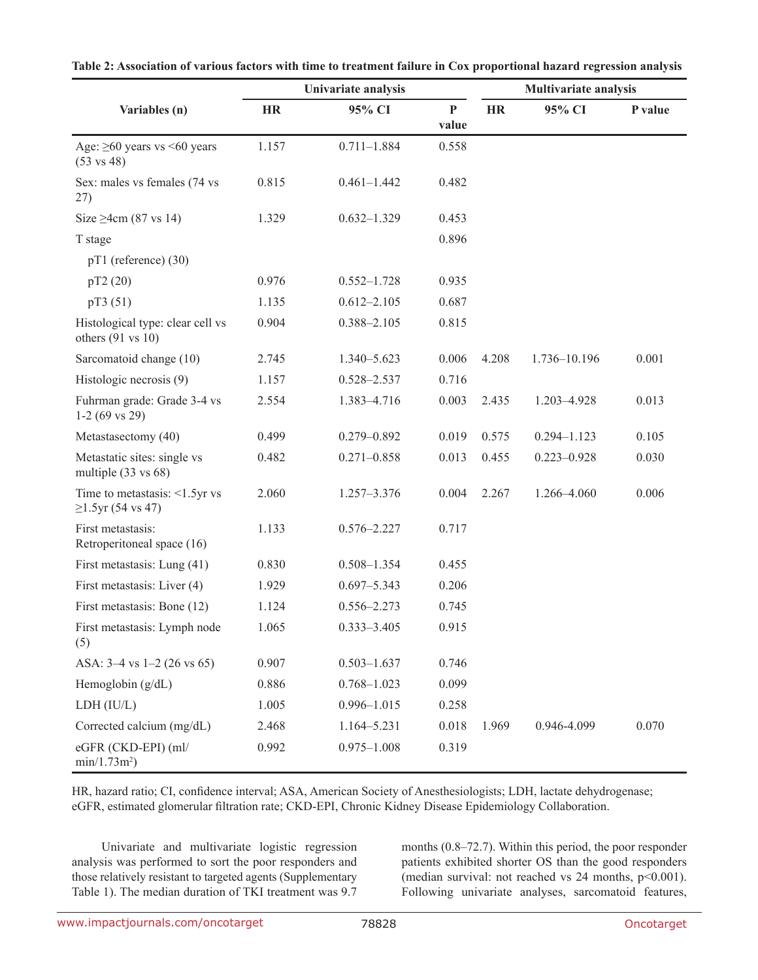|                                                                  | Univariate analysis |                 |                       | Multivariate analysis |                 |         |  |
|------------------------------------------------------------------|---------------------|-----------------|-----------------------|-----------------------|-----------------|---------|--|
| Variables (n)                                                    | <b>HR</b>           | 95% CI          | $\mathbf{P}$<br>value | <b>HR</b>             | 95% CI          | P value |  |
| Age: $\geq 60$ years vs <60 years<br>$(53 \text{ vs } 48)$       | 1.157               | $0.711 - 1.884$ | 0.558                 |                       |                 |         |  |
| Sex: males vs females (74 vs<br>27)                              | 0.815               | $0.461 - 1.442$ | 0.482                 |                       |                 |         |  |
| Size $\geq$ 4cm (87 vs 14)                                       | 1.329               | $0.632 - 1.329$ | 0.453                 |                       |                 |         |  |
| T stage                                                          |                     |                 | 0.896                 |                       |                 |         |  |
| $pT1$ (reference) (30)                                           |                     |                 |                       |                       |                 |         |  |
| pT2(20)                                                          | 0.976               | $0.552 - 1.728$ | 0.935                 |                       |                 |         |  |
| pT3(51)                                                          | 1.135               | $0.612 - 2.105$ | 0.687                 |                       |                 |         |  |
| Histological type: clear cell vs<br>others $(91 \text{ vs } 10)$ | 0.904               | $0.388 - 2.105$ | 0.815                 |                       |                 |         |  |
| Sarcomatoid change (10)                                          | 2.745               | 1.340-5.623     | 0.006                 | 4.208                 | 1.736-10.196    | 0.001   |  |
| Histologic necrosis (9)                                          | 1.157               | 0.528-2.537     | 0.716                 |                       |                 |         |  |
| Fuhrman grade: Grade 3-4 vs<br>$1-2(69 \text{ vs } 29)$          | 2.554               | 1.383-4.716     | 0.003                 | 2.435                 | 1.203-4.928     | 0.013   |  |
| Metastasectomy (40)                                              | 0.499               | $0.279 - 0.892$ | 0.019                 | 0.575                 | $0.294 - 1.123$ | 0.105   |  |
| Metastatic sites: single vs<br>multiple $(33 \text{ vs } 68)$    | 0.482               | $0.271 - 0.858$ | 0.013                 | 0.455                 | $0.223 - 0.928$ | 0.030   |  |
| Time to metastasis: $\leq 1.5$ yr vs<br>$\geq$ 1.5yr (54 vs 47)  | 2.060               | 1.257-3.376     | 0.004                 | 2.267                 | 1.266-4.060     | 0.006   |  |
| First metastasis:<br>Retroperitoneal space (16)                  | 1.133               | $0.576 - 2.227$ | 0.717                 |                       |                 |         |  |
| First metastasis: Lung (41)                                      | 0.830               | $0.508 - 1.354$ | 0.455                 |                       |                 |         |  |
| First metastasis: Liver (4)                                      | 1.929               | $0.697 - 5.343$ | 0.206                 |                       |                 |         |  |
| First metastasis: Bone (12)                                      | 1.124               | $0.556 - 2.273$ | 0.745                 |                       |                 |         |  |
| First metastasis: Lymph node<br>(5)                              | 1.065               | $0.333 - 3.405$ | 0.915                 |                       |                 |         |  |
| ASA: $3-4$ vs $1-2$ (26 vs 65)                                   | 0.907               | $0.503 - 1.637$ | 0.746                 |                       |                 |         |  |
| Hemoglobin $(g/dL)$                                              | 0.886               | $0.768 - 1.023$ | 0.099                 |                       |                 |         |  |
| LDH (IU/L)                                                       | 1.005               | $0.996 - 1.015$ | 0.258                 |                       |                 |         |  |
| Corrected calcium (mg/dL)                                        | 2.468               | 1.164-5.231     | 0.018                 | 1.969                 | 0.946-4.099     | 0.070   |  |
| eGFR (CKD-EPI) (ml/<br>$min/1.73m^2)$                            | 0.992               | $0.975 - 1.008$ | 0.319                 |                       |                 |         |  |

HR, hazard ratio; CI, confidence interval; ASA, American Society of Anesthesiologists; LDH, lactate dehydrogenase; eGFR, estimated glomerular filtration rate; CKD-EPI, Chronic Kidney Disease Epidemiology Collaboration.

Univariate and multivariate logistic regression analysis was performed to sort the poor responders and those relatively resistant to targeted agents (Supplementary Table 1). The median duration of TKI treatment was 9.7

months (0.8–72.7). Within this period, the poor responder patients exhibited shorter OS than the good responders (median survival: not reached vs 24 months, p<0.001). Following univariate analyses, sarcomatoid features,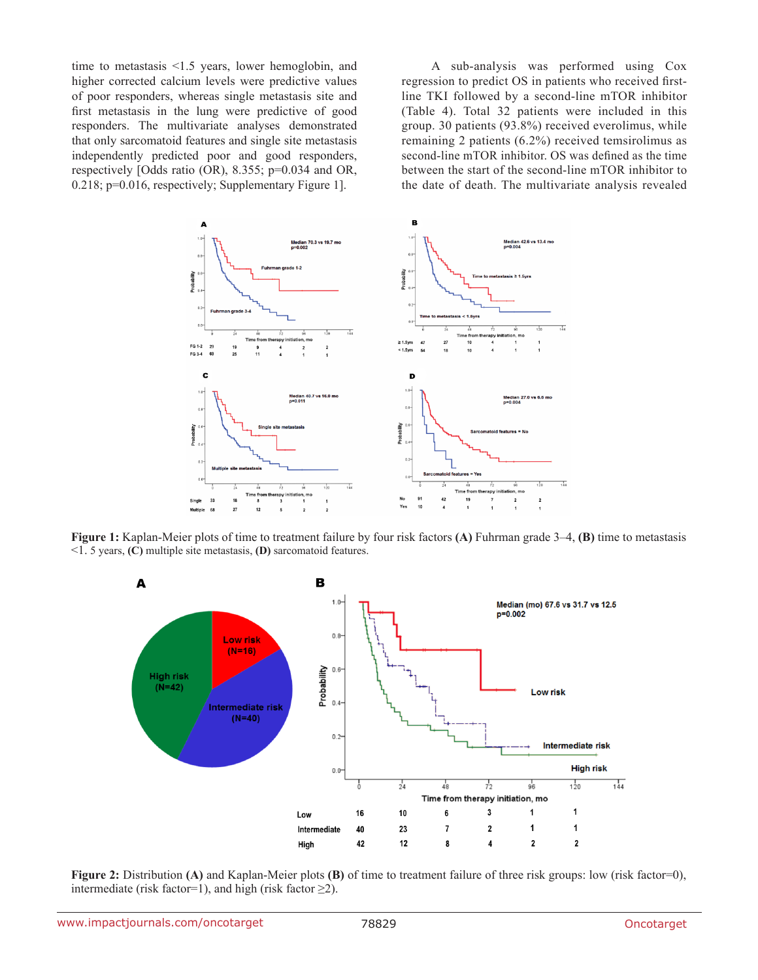time to metastasis <1.5 years, lower hemoglobin, and higher corrected calcium levels were predictive values of poor responders, whereas single metastasis site and first metastasis in the lung were predictive of good responders. The multivariate analyses demonstrated that only sarcomatoid features and single site metastasis independently predicted poor and good responders, respectively [Odds ratio (OR), 8.355; p=0.034 and OR, 0.218; p=0.016, respectively; Supplementary Figure 1].

A sub-analysis was performed using Cox regression to predict OS in patients who received firstline TKI followed by a second-line mTOR inhibitor (Table 4). Total 32 patients were included in this group. 30 patients (93.8%) received everolimus, while remaining 2 patients (6.2%) received temsirolimus as second-line mTOR inhibitor. OS was defined as the time between the start of the second-line mTOR inhibitor to the date of death. The multivariate analysis revealed



**Figure 1:** Kaplan-Meier plots of time to treatment failure by four risk factors **(A)** Fuhrman grade 3–4, **(B)** time to metastasis <1. 5 years, **(C)** multiple site metastasis, **(D)** sarcomatoid features.



**Figure 2:** Distribution **(A)** and Kaplan-Meier plots **(B)** of time to treatment failure of three risk groups: low (risk factor=0), intermediate (risk factor=1), and high (risk factor  $\geq$ 2).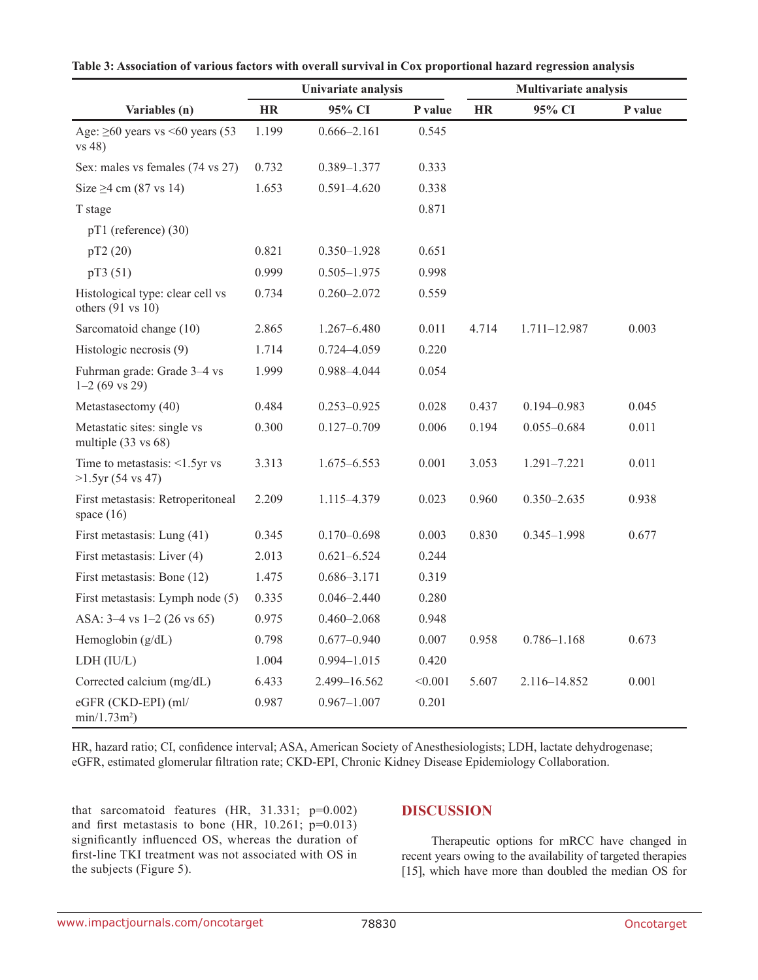|                                                                  | Univariate analysis |                 |         | Multivariate analysis |                 |         |  |
|------------------------------------------------------------------|---------------------|-----------------|---------|-----------------------|-----------------|---------|--|
| Variables (n)                                                    | <b>HR</b>           | 95% CI          | P value | <b>HR</b>             | 95% CI          | P value |  |
| Age: $\geq 60$ years vs < 60 years (53<br>$vs$ 48)               | 1.199               | $0.666 - 2.161$ | 0.545   |                       |                 |         |  |
| Sex: males vs females (74 vs 27)                                 | 0.732               | 0.389-1.377     | 0.333   |                       |                 |         |  |
| Size $\geq$ 4 cm (87 vs 14)                                      | 1.653               | $0.591 - 4.620$ | 0.338   |                       |                 |         |  |
| T stage                                                          |                     |                 | 0.871   |                       |                 |         |  |
| pT1 (reference) (30)                                             |                     |                 |         |                       |                 |         |  |
| pT2 (20)                                                         | 0.821               | $0.350 - 1.928$ | 0.651   |                       |                 |         |  |
| pT3 (51)                                                         | 0.999               | $0.505 - 1.975$ | 0.998   |                       |                 |         |  |
| Histological type: clear cell vs<br>others $(91 \text{ vs } 10)$ | 0.734               | $0.260 - 2.072$ | 0.559   |                       |                 |         |  |
| Sarcomatoid change (10)                                          | 2.865               | $1.267 - 6.480$ | 0.011   | 4.714                 | 1.711-12.987    | 0.003   |  |
| Histologic necrosis (9)                                          | 1.714               | $0.724 - 4.059$ | 0.220   |                       |                 |         |  |
| Fuhrman grade: Grade 3-4 vs<br>$1-2(69 \text{ vs } 29)$          | 1.999               | 0.988-4.044     | 0.054   |                       |                 |         |  |
| Metastasectomy (40)                                              | 0.484               | $0.253 - 0.925$ | 0.028   | 0.437                 | $0.194 - 0.983$ | 0.045   |  |
| Metastatic sites: single vs<br>multiple $(33 \text{ vs } 68)$    | 0.300               | $0.127 - 0.709$ | 0.006   | 0.194                 | $0.055 - 0.684$ | 0.011   |  |
| Time to metastasis: $\leq 1.5$ yr vs<br>$>1.5$ yr (54 vs 47)     | 3.313               | 1.675-6.553     | 0.001   | 3.053                 | 1.291-7.221     | 0.011   |  |
| First metastasis: Retroperitoneal<br>space $(16)$                | 2.209               | 1.115–4.379     | 0.023   | 0.960                 | $0.350 - 2.635$ | 0.938   |  |
| First metastasis: Lung (41)                                      | 0.345               | $0.170 - 0.698$ | 0.003   | 0.830                 | $0.345 - 1.998$ | 0.677   |  |
| First metastasis: Liver (4)                                      | 2.013               | $0.621 - 6.524$ | 0.244   |                       |                 |         |  |
| First metastasis: Bone (12)                                      | 1.475               | $0.686 - 3.171$ | 0.319   |                       |                 |         |  |
| First metastasis: Lymph node (5)                                 | 0.335               | $0.046 - 2.440$ | 0.280   |                       |                 |         |  |
| ASA: $3-4$ vs $1-2$ (26 vs 65)                                   | 0.975               | $0.460 - 2.068$ | 0.948   |                       |                 |         |  |
| Hemoglobin $(g/dL)$                                              | 0.798               | $0.677 - 0.940$ | 0.007   | 0.958                 | $0.786 - 1.168$ | 0.673   |  |
| LDH (IU/L)                                                       | 1.004               | $0.994 - 1.015$ | 0.420   |                       |                 |         |  |
| Corrected calcium (mg/dL)                                        | 6.433               | 2.499-16.562    | < 0.001 | 5.607                 | 2.116-14.852    | 0.001   |  |
| eGFR (CKD-EPI) (ml/<br>$min/1.73m^2)$                            | 0.987               | $0.967 - 1.007$ | 0.201   |                       |                 |         |  |

| Table 3: Association of various factors with overall survival in Cox proportional hazard regression analysis |  |  |
|--------------------------------------------------------------------------------------------------------------|--|--|
|--------------------------------------------------------------------------------------------------------------|--|--|

HR, hazard ratio; CI, confidence interval; ASA, American Society of Anesthesiologists; LDH, lactate dehydrogenase; eGFR, estimated glomerular filtration rate; CKD-EPI, Chronic Kidney Disease Epidemiology Collaboration.

that sarcomatoid features (HR, 31.331; p=0.002) and first metastasis to bone (HR,  $10.261$ ;  $p=0.013$ ) significantly influenced OS, whereas the duration of first-line TKI treatment was not associated with OS in the subjects (Figure 5).

#### **DISCUSSION**

Therapeutic options for mRCC have changed in recent years owing to the availability of targeted therapies [15], which have more than doubled the median OS for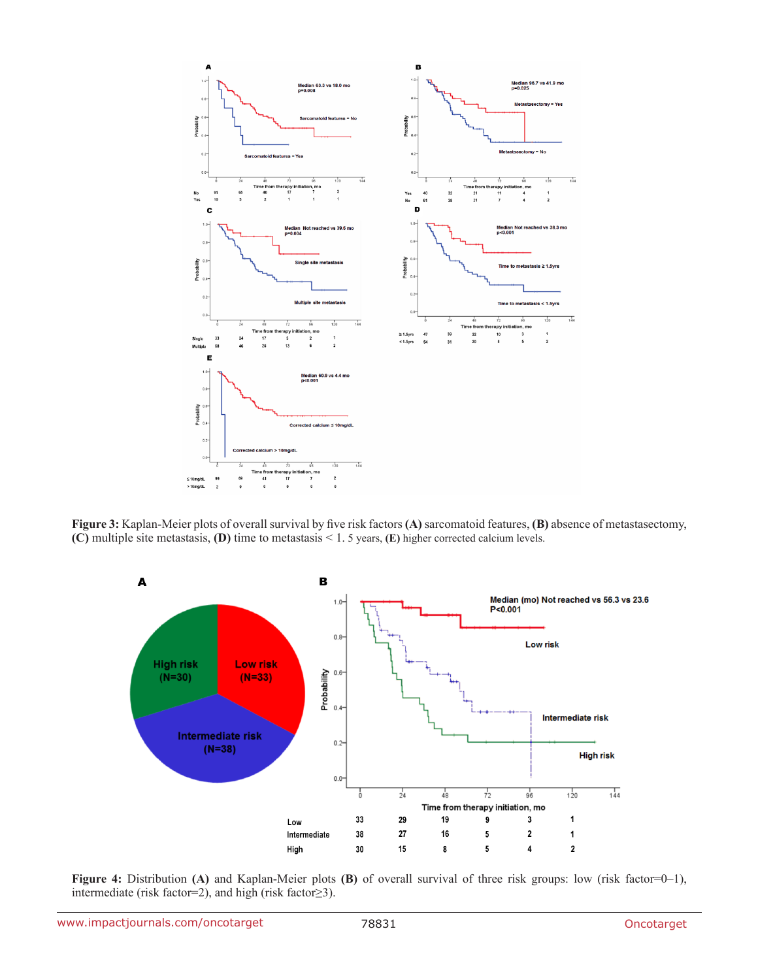

**Figure 3:** Kaplan-Meier plots of overall survival by five risk factors **(A)** sarcomatoid features, **(B)** absence of metastasectomy, **(C)** multiple site metastasis, **(D)** time to metastasis < 1. 5 years, **(E)** higher corrected calcium levels.



**Figure 4:** Distribution **(A)** and Kaplan-Meier plots **(B)** of overall survival of three risk groups: low (risk factor=0–1), intermediate (risk factor=2), and high (risk factor≥3).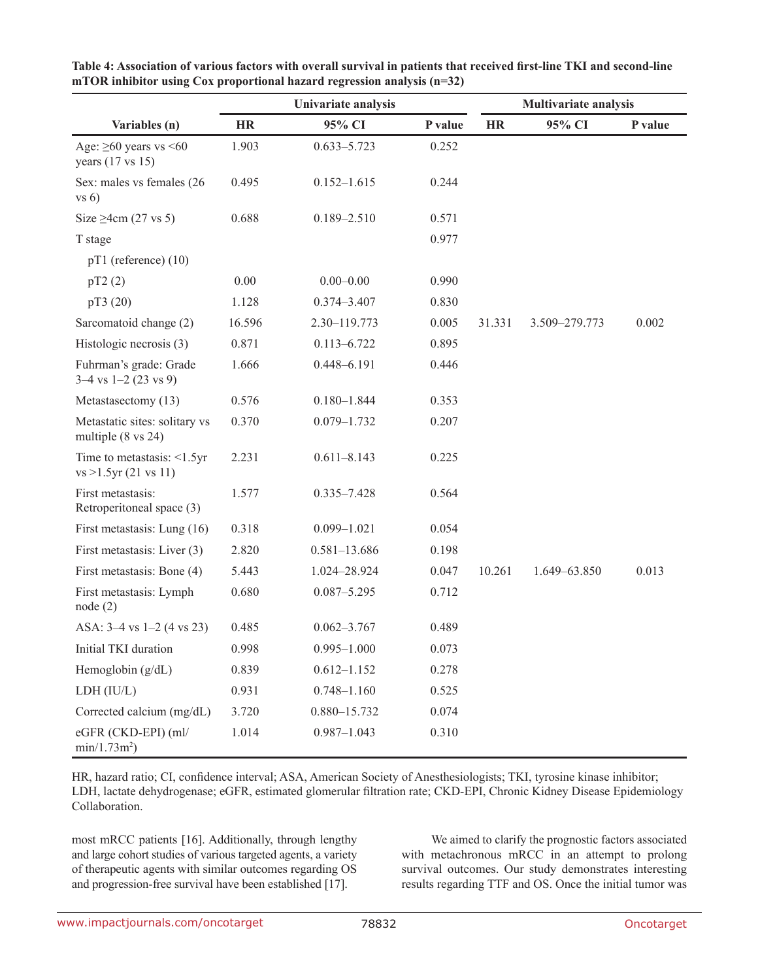|                                                                | Univariate analysis |                  |         | <b>Multivariate analysis</b> |               |         |  |
|----------------------------------------------------------------|---------------------|------------------|---------|------------------------------|---------------|---------|--|
| Variables (n)                                                  | <b>HR</b>           | 95% CI           | P value | <b>HR</b>                    | 95% CI        | P value |  |
| Age: $\geq 60$ years vs < 60<br>years (17 vs 15)               | 1.903               | $0.633 - 5.723$  | 0.252   |                              |               |         |  |
| Sex: males vs females (26<br>vs 6)                             | 0.495               | $0.152 - 1.615$  | 0.244   |                              |               |         |  |
| Size $\geq$ 4cm (27 vs 5)                                      | 0.688               | $0.189 - 2.510$  | 0.571   |                              |               |         |  |
| T stage                                                        |                     |                  | 0.977   |                              |               |         |  |
| $pT1$ (reference) (10)                                         |                     |                  |         |                              |               |         |  |
| pT2(2)                                                         | 0.00                | $0.00 - 0.00$    | 0.990   |                              |               |         |  |
| pT3 (20)                                                       | 1.128               | $0.374 - 3.407$  | 0.830   |                              |               |         |  |
| Sarcomatoid change (2)                                         | 16.596              | 2.30-119.773     | 0.005   | 31.331                       | 3.509-279.773 | 0.002   |  |
| Histologic necrosis (3)                                        | 0.871               | $0.113 - 6.722$  | 0.895   |                              |               |         |  |
| Fuhrman's grade: Grade<br>$3-4$ vs $1-2$ (23 vs 9)             | 1.666               | 0.448-6.191      | 0.446   |                              |               |         |  |
| Metastasectomy (13)                                            | 0.576               | $0.180 - 1.844$  | 0.353   |                              |               |         |  |
| Metastatic sites: solitary vs<br>multiple $(8 \text{ vs } 24)$ | 0.370               | $0.079 - 1.732$  | 0.207   |                              |               |         |  |
| Time to metastasis: $\leq 1.5$ yr<br>vs > 1.5yr(21 vs 11)      | 2.231               | $0.611 - 8.143$  | 0.225   |                              |               |         |  |
| First metastasis:<br>Retroperitoneal space (3)                 | 1.577               | 0.335-7.428      | 0.564   |                              |               |         |  |
| First metastasis: Lung (16)                                    | 0.318               | $0.099 - 1.021$  | 0.054   |                              |               |         |  |
| First metastasis: Liver (3)                                    | 2.820               | $0.581 - 13.686$ | 0.198   |                              |               |         |  |
| First metastasis: Bone (4)                                     | 5.443               | 1.024-28.924     | 0.047   | 10.261                       | 1.649-63.850  | 0.013   |  |
| First metastasis: Lymph<br>node(2)                             | 0.680               | $0.087 - 5.295$  | 0.712   |                              |               |         |  |
| ASA: $3-4$ vs $1-2$ (4 vs 23)                                  | 0.485               | $0.062 - 3.767$  | 0.489   |                              |               |         |  |
| Initial TKI duration                                           | 0.998               | $0.995 - 1.000$  | 0.073   |                              |               |         |  |
| Hemoglobin $(g/dL)$                                            | 0.839               | $0.612 - 1.152$  | 0.278   |                              |               |         |  |
| LDH (IU/L)                                                     | 0.931               | $0.748 - 1.160$  | 0.525   |                              |               |         |  |
| Corrected calcium (mg/dL)                                      | 3.720               | 0.880-15.732     | 0.074   |                              |               |         |  |
| eGFR (CKD-EPI) (ml/<br>$min/1.73m^2)$                          | 1.014               | $0.987 - 1.043$  | 0.310   |                              |               |         |  |

**Table 4: Association of various factors with overall survival in patients that received first-line TKI and second-line mTOR inhibitor using Cox proportional hazard regression analysis (n=32)**

HR, hazard ratio; CI, confidence interval; ASA, American Society of Anesthesiologists; TKI, tyrosine kinase inhibitor; LDH, lactate dehydrogenase; eGFR, estimated glomerular filtration rate; CKD-EPI, Chronic Kidney Disease Epidemiology Collaboration.

most mRCC patients [16]. Additionally, through lengthy and large cohort studies of various targeted agents, a variety of therapeutic agents with similar outcomes regarding OS and progression-free survival have been established [17].

We aimed to clarify the prognostic factors associated with metachronous mRCC in an attempt to prolong survival outcomes. Our study demonstrates interesting results regarding TTF and OS. Once the initial tumor was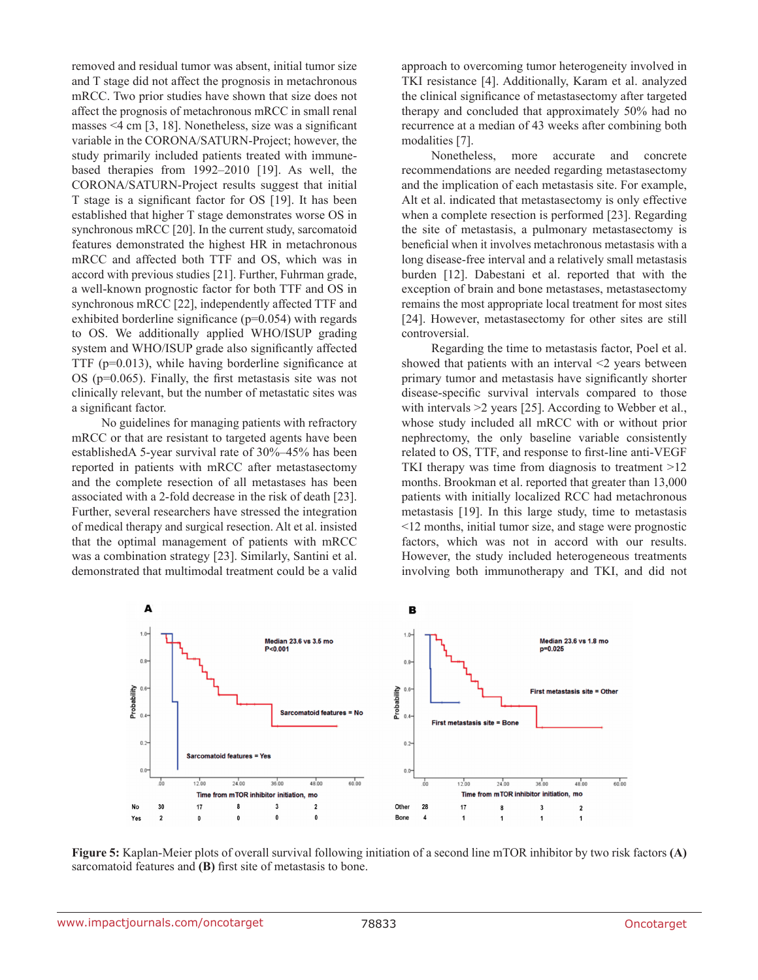removed and residual tumor was absent, initial tumor size and T stage did not affect the prognosis in metachronous mRCC. Two prior studies have shown that size does not affect the prognosis of metachronous mRCC in small renal masses <4 cm [3, 18]. Nonetheless, size was a significant variable in the CORONA/SATURN-Project; however, the study primarily included patients treated with immunebased therapies from 1992–2010 [19]. As well, the CORONA/SATURN-Project results suggest that initial T stage is a significant factor for OS [19]. It has been established that higher T stage demonstrates worse OS in synchronous mRCC [20]. In the current study, sarcomatoid features demonstrated the highest HR in metachronous mRCC and affected both TTF and OS, which was in accord with previous studies [21]. Further, Fuhrman grade, a well-known prognostic factor for both TTF and OS in synchronous mRCC [22], independently affected TTF and exhibited borderline significance  $(p=0.054)$  with regards to OS. We additionally applied WHO/ISUP grading system and WHO/ISUP grade also significantly affected TTF (p=0.013), while having borderline significance at OS (p=0.065). Finally, the first metastasis site was not clinically relevant, but the number of metastatic sites was a significant factor.

No guidelines for managing patients with refractory mRCC or that are resistant to targeted agents have been establishedA 5-year survival rate of 30%–45% has been reported in patients with mRCC after metastasectomy and the complete resection of all metastases has been associated with a 2-fold decrease in the risk of death [23]. Further, several researchers have stressed the integration of medical therapy and surgical resection. Alt et al. insisted that the optimal management of patients with mRCC was a combination strategy [23]. Similarly, Santini et al. demonstrated that multimodal treatment could be a valid approach to overcoming tumor heterogeneity involved in TKI resistance [4]. Additionally, Karam et al. analyzed the clinical significance of metastasectomy after targeted therapy and concluded that approximately 50% had no recurrence at a median of 43 weeks after combining both modalities [7].

Nonetheless, more accurate and concrete recommendations are needed regarding metastasectomy and the implication of each metastasis site. For example, Alt et al. indicated that metastasectomy is only effective when a complete resection is performed [23]. Regarding the site of metastasis, a pulmonary metastasectomy is beneficial when it involves metachronous metastasis with a long disease-free interval and a relatively small metastasis burden [12]. Dabestani et al. reported that with the exception of brain and bone metastases, metastasectomy remains the most appropriate local treatment for most sites [24]. However, metastasectomy for other sites are still controversial.

Regarding the time to metastasis factor, Poel et al. showed that patients with an interval  $\leq$  years between primary tumor and metastasis have significantly shorter disease-specific survival intervals compared to those with intervals  $\geq$  years [25]. According to Webber et al., whose study included all mRCC with or without prior nephrectomy, the only baseline variable consistently related to OS, TTF, and response to first-line anti-VEGF TKI therapy was time from diagnosis to treatment >12 months. Brookman et al. reported that greater than 13,000 patients with initially localized RCC had metachronous metastasis [19]. In this large study, time to metastasis <12 months, initial tumor size, and stage were prognostic factors, which was not in accord with our results. However, the study included heterogeneous treatments involving both immunotherapy and TKI, and did not



**Figure 5:** Kaplan-Meier plots of overall survival following initiation of a second line mTOR inhibitor by two risk factors **(A)**  sarcomatoid features and **(B)** first site of metastasis to bone.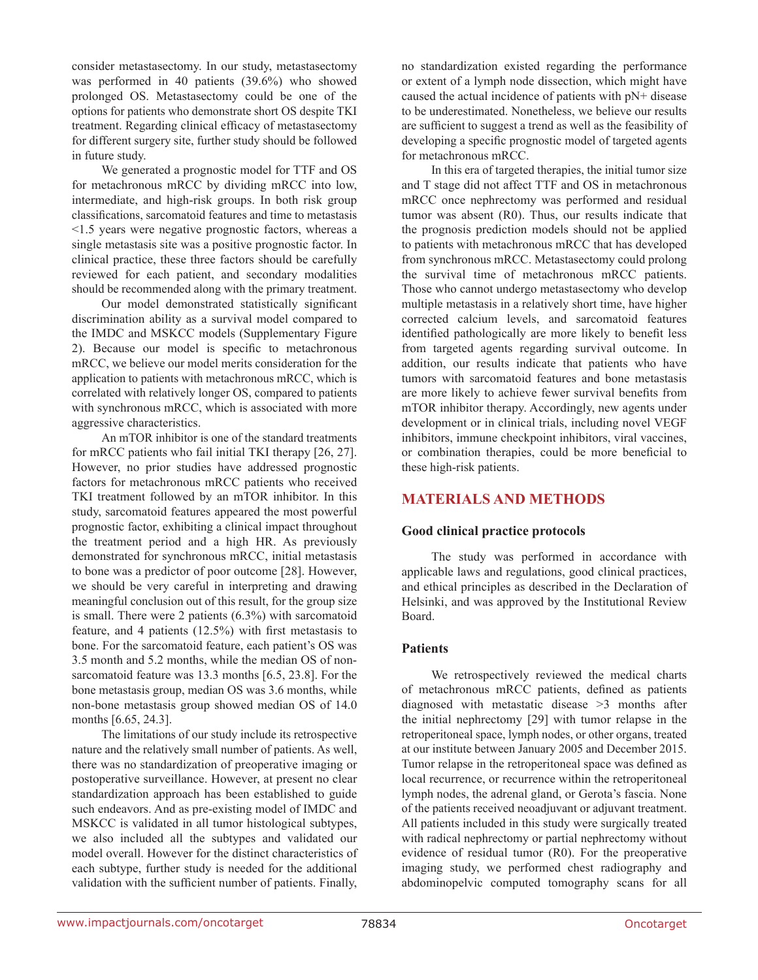consider metastasectomy. In our study, metastasectomy was performed in 40 patients (39.6%) who showed prolonged OS. Metastasectomy could be one of the options for patients who demonstrate short OS despite TKI treatment. Regarding clinical efficacy of metastasectomy for different surgery site, further study should be followed in future study.

We generated a prognostic model for TTF and OS for metachronous mRCC by dividing mRCC into low, intermediate, and high-risk groups. In both risk group classifications, sarcomatoid features and time to metastasis <1.5 years were negative prognostic factors, whereas a single metastasis site was a positive prognostic factor. In clinical practice, these three factors should be carefully reviewed for each patient, and secondary modalities should be recommended along with the primary treatment.

Our model demonstrated statistically significant discrimination ability as a survival model compared to the IMDC and MSKCC models (Supplementary Figure 2). Because our model is specific to metachronous mRCC, we believe our model merits consideration for the application to patients with metachronous mRCC, which is correlated with relatively longer OS, compared to patients with synchronous mRCC, which is associated with more aggressive characteristics.

An mTOR inhibitor is one of the standard treatments for mRCC patients who fail initial TKI therapy [26, 27]. However, no prior studies have addressed prognostic factors for metachronous mRCC patients who received TKI treatment followed by an mTOR inhibitor. In this study, sarcomatoid features appeared the most powerful prognostic factor, exhibiting a clinical impact throughout the treatment period and a high HR. As previously demonstrated for synchronous mRCC, initial metastasis to bone was a predictor of poor outcome [28]. However, we should be very careful in interpreting and drawing meaningful conclusion out of this result, for the group size is small. There were 2 patients (6.3%) with sarcomatoid feature, and 4 patients (12.5%) with first metastasis to bone. For the sarcomatoid feature, each patient's OS was 3.5 month and 5.2 months, while the median OS of nonsarcomatoid feature was 13.3 months [6.5, 23.8]. For the bone metastasis group, median OS was 3.6 months, while non-bone metastasis group showed median OS of 14.0 months [6.65, 24.3].

The limitations of our study include its retrospective nature and the relatively small number of patients. As well, there was no standardization of preoperative imaging or postoperative surveillance. However, at present no clear standardization approach has been established to guide such endeavors. And as pre-existing model of IMDC and MSKCC is validated in all tumor histological subtypes, we also included all the subtypes and validated our model overall. However for the distinct characteristics of each subtype, further study is needed for the additional validation with the sufficient number of patients. Finally,

no standardization existed regarding the performance or extent of a lymph node dissection, which might have caused the actual incidence of patients with pN+ disease to be underestimated. Nonetheless, we believe our results are sufficient to suggest a trend as well as the feasibility of developing a specific prognostic model of targeted agents for metachronous mRCC.

In this era of targeted therapies, the initial tumor size and T stage did not affect TTF and OS in metachronous mRCC once nephrectomy was performed and residual tumor was absent (R0). Thus, our results indicate that the prognosis prediction models should not be applied to patients with metachronous mRCC that has developed from synchronous mRCC. Metastasectomy could prolong the survival time of metachronous mRCC patients. Those who cannot undergo metastasectomy who develop multiple metastasis in a relatively short time, have higher corrected calcium levels, and sarcomatoid features identified pathologically are more likely to benefit less from targeted agents regarding survival outcome. In addition, our results indicate that patients who have tumors with sarcomatoid features and bone metastasis are more likely to achieve fewer survival benefits from mTOR inhibitor therapy. Accordingly, new agents under development or in clinical trials, including novel VEGF inhibitors, immune checkpoint inhibitors, viral vaccines, or combination therapies, could be more beneficial to these high-risk patients.

# **MATERIALS AND METHODS**

#### **Good clinical practice protocols**

The study was performed in accordance with applicable laws and regulations, good clinical practices, and ethical principles as described in the Declaration of Helsinki, and was approved by the Institutional Review Board.

#### **Patients**

We retrospectively reviewed the medical charts of metachronous mRCC patients, defined as patients diagnosed with metastatic disease >3 months after the initial nephrectomy [29] with tumor relapse in the retroperitoneal space, lymph nodes, or other organs, treated at our institute between January 2005 and December 2015. Tumor relapse in the retroperitoneal space was defined as local recurrence, or recurrence within the retroperitoneal lymph nodes, the adrenal gland, or Gerota's fascia. None of the patients received neoadjuvant or adjuvant treatment. All patients included in this study were surgically treated with radical nephrectomy or partial nephrectomy without evidence of residual tumor (R0). For the preoperative imaging study, we performed chest radiography and abdominopelvic computed tomography scans for all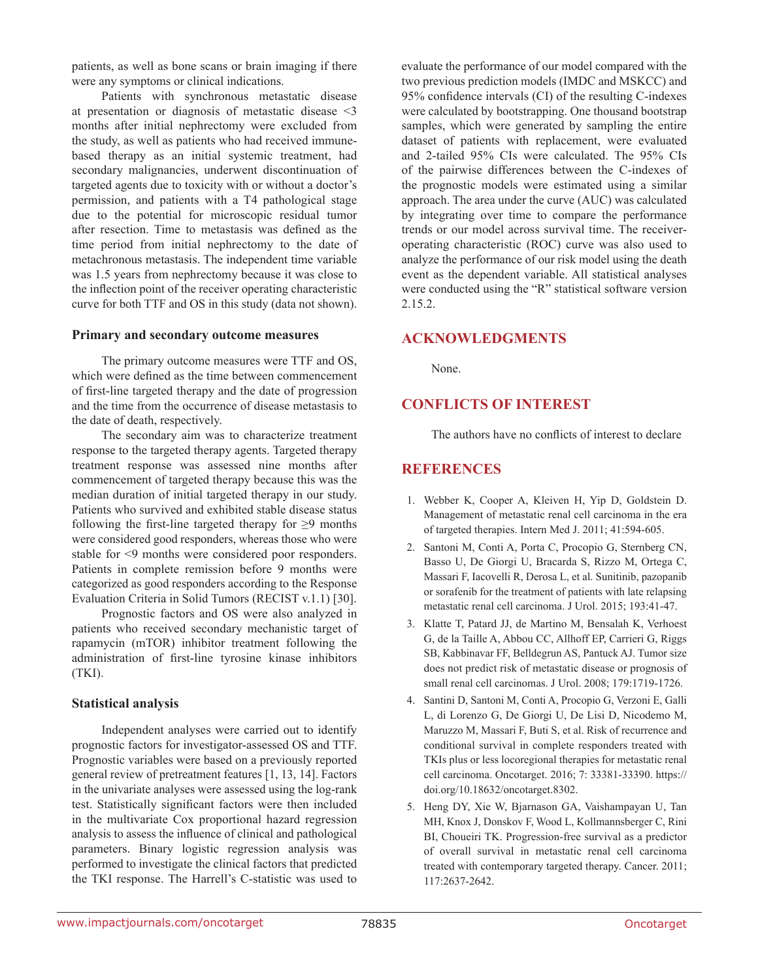patients, as well as bone scans or brain imaging if there were any symptoms or clinical indications.

Patients with synchronous metastatic disease at presentation or diagnosis of metastatic disease <3 months after initial nephrectomy were excluded from the study, as well as patients who had received immunebased therapy as an initial systemic treatment, had secondary malignancies, underwent discontinuation of targeted agents due to toxicity with or without a doctor's permission, and patients with a T4 pathological stage due to the potential for microscopic residual tumor after resection. Time to metastasis was defined as the time period from initial nephrectomy to the date of metachronous metastasis. The independent time variable was 1.5 years from nephrectomy because it was close to the inflection point of the receiver operating characteristic curve for both TTF and OS in this study (data not shown).

#### **Primary and secondary outcome measures**

The primary outcome measures were TTF and OS, which were defined as the time between commencement of first-line targeted therapy and the date of progression and the time from the occurrence of disease metastasis to the date of death, respectively.

The secondary aim was to characterize treatment response to the targeted therapy agents. Targeted therapy treatment response was assessed nine months after commencement of targeted therapy because this was the median duration of initial targeted therapy in our study. Patients who survived and exhibited stable disease status following the first-line targeted therapy for  $\geq$ 9 months were considered good responders, whereas those who were stable for <9 months were considered poor responders. Patients in complete remission before 9 months were categorized as good responders according to the Response Evaluation Criteria in Solid Tumors (RECIST v.1.1) [30].

Prognostic factors and OS were also analyzed in patients who received secondary mechanistic target of rapamycin (mTOR) inhibitor treatment following the administration of first-line tyrosine kinase inhibitors (TKI).

#### **Statistical analysis**

Independent analyses were carried out to identify prognostic factors for investigator-assessed OS and TTF. Prognostic variables were based on a previously reported general review of pretreatment features [1, 13, 14]. Factors in the univariate analyses were assessed using the log-rank test. Statistically significant factors were then included in the multivariate Cox proportional hazard regression analysis to assess the influence of clinical and pathological parameters. Binary logistic regression analysis was performed to investigate the clinical factors that predicted the TKI response. The Harrell's C-statistic was used to evaluate the performance of our model compared with the two previous prediction models (IMDC and MSKCC) and 95% confidence intervals (CI) of the resulting C-indexes were calculated by bootstrapping. One thousand bootstrap samples, which were generated by sampling the entire dataset of patients with replacement, were evaluated and 2-tailed 95% CIs were calculated. The 95% CIs of the pairwise differences between the C-indexes of the prognostic models were estimated using a similar approach. The area under the curve (AUC) was calculated by integrating over time to compare the performance trends or our model across survival time. The receiveroperating characteristic (ROC) curve was also used to analyze the performance of our risk model using the death event as the dependent variable. All statistical analyses were conducted using the "R" statistical software version 2.15.2.

#### **ACKNOWLEDGMENTS**

None.

### **CONFLICTS OF INTEREST**

The authors have no conflicts of interest to declare

# **REFERENCES**

- 1. Webber K, Cooper A, Kleiven H, Yip D, Goldstein D. Management of metastatic renal cell carcinoma in the era of targeted therapies. Intern Med J. 2011; 41:594-605.
- 2. Santoni M, Conti A, Porta C, Procopio G, Sternberg CN, Basso U, De Giorgi U, Bracarda S, Rizzo M, Ortega C, Massari F, Iacovelli R, Derosa L, et al. Sunitinib, pazopanib or sorafenib for the treatment of patients with late relapsing metastatic renal cell carcinoma. J Urol. 2015; 193:41-47.
- 3. Klatte T, Patard JJ, de Martino M, Bensalah K, Verhoest G, de la Taille A, Abbou CC, Allhoff EP, Carrieri G, Riggs SB, Kabbinavar FF, Belldegrun AS, Pantuck AJ. Tumor size does not predict risk of metastatic disease or prognosis of small renal cell carcinomas. J Urol. 2008; 179:1719-1726.
- 4. Santini D, Santoni M, Conti A, Procopio G, Verzoni E, Galli L, di Lorenzo G, De Giorgi U, De Lisi D, Nicodemo M, Maruzzo M, Massari F, Buti S, et al. Risk of recurrence and conditional survival in complete responders treated with TKIs plus or less locoregional therapies for metastatic renal cell carcinoma. Oncotarget. 2016; 7: 33381-33390. https:// doi.org/10.18632/oncotarget.8302.
- 5. Heng DY, Xie W, Bjarnason GA, Vaishampayan U, Tan MH, Knox J, Donskov F, Wood L, Kollmannsberger C, Rini BI, Choueiri TK. Progression-free survival as a predictor of overall survival in metastatic renal cell carcinoma treated with contemporary targeted therapy. Cancer. 2011; 117:2637-2642.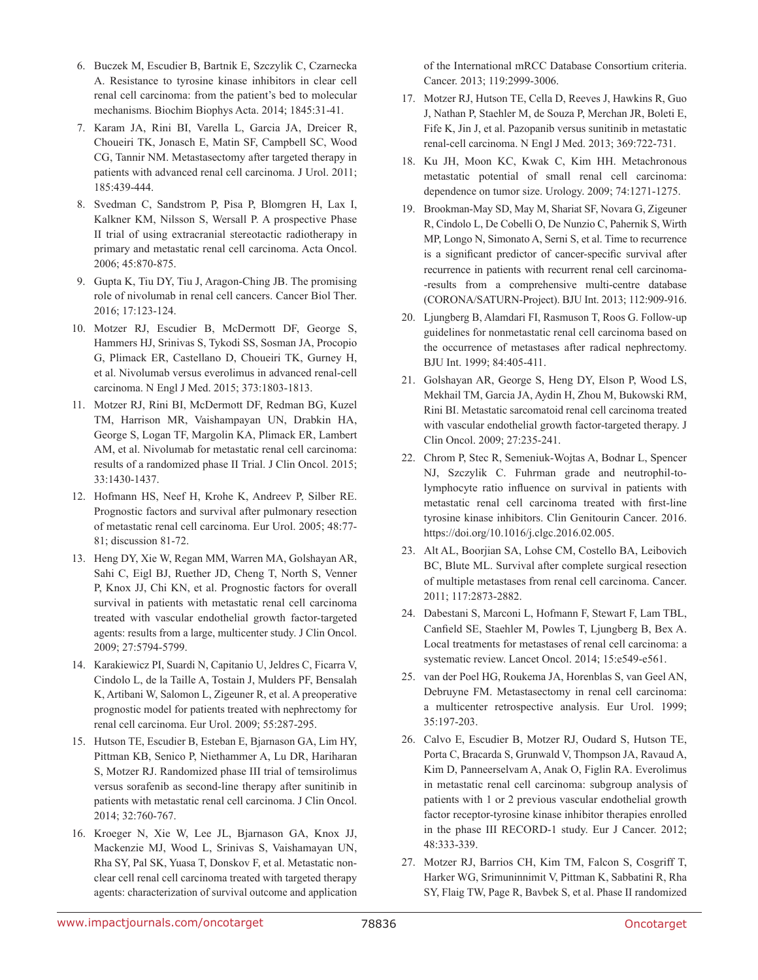- 6. Buczek M, Escudier B, Bartnik E, Szczylik C, Czarnecka A. Resistance to tyrosine kinase inhibitors in clear cell renal cell carcinoma: from the patient's bed to molecular mechanisms. Biochim Biophys Acta. 2014; 1845:31-41.
- 7. Karam JA, Rini BI, Varella L, Garcia JA, Dreicer R, Choueiri TK, Jonasch E, Matin SF, Campbell SC, Wood CG, Tannir NM. Metastasectomy after targeted therapy in patients with advanced renal cell carcinoma. J Urol. 2011; 185:439-444.
- 8. Svedman C, Sandstrom P, Pisa P, Blomgren H, Lax I, Kalkner KM, Nilsson S, Wersall P. A prospective Phase II trial of using extracranial stereotactic radiotherapy in primary and metastatic renal cell carcinoma. Acta Oncol. 2006; 45:870-875.
- 9. Gupta K, Tiu DY, Tiu J, Aragon-Ching JB. The promising role of nivolumab in renal cell cancers. Cancer Biol Ther. 2016; 17:123-124.
- 10. Motzer RJ, Escudier B, McDermott DF, George S, Hammers HJ, Srinivas S, Tykodi SS, Sosman JA, Procopio G, Plimack ER, Castellano D, Choueiri TK, Gurney H, et al. Nivolumab versus everolimus in advanced renal-cell carcinoma. N Engl J Med. 2015; 373:1803-1813.
- 11. Motzer RJ, Rini BI, McDermott DF, Redman BG, Kuzel TM, Harrison MR, Vaishampayan UN, Drabkin HA, George S, Logan TF, Margolin KA, Plimack ER, Lambert AM, et al. Nivolumab for metastatic renal cell carcinoma: results of a randomized phase II Trial. J Clin Oncol. 2015; 33:1430-1437.
- 12. Hofmann HS, Neef H, Krohe K, Andreev P, Silber RE. Prognostic factors and survival after pulmonary resection of metastatic renal cell carcinoma. Eur Urol. 2005; 48:77- 81; discussion 81-72.
- 13. Heng DY, Xie W, Regan MM, Warren MA, Golshayan AR, Sahi C, Eigl BJ, Ruether JD, Cheng T, North S, Venner P, Knox JJ, Chi KN, et al. Prognostic factors for overall survival in patients with metastatic renal cell carcinoma treated with vascular endothelial growth factor-targeted agents: results from a large, multicenter study. J Clin Oncol. 2009; 27:5794-5799.
- 14. Karakiewicz PI, Suardi N, Capitanio U, Jeldres C, Ficarra V, Cindolo L, de la Taille A, Tostain J, Mulders PF, Bensalah K, Artibani W, Salomon L, Zigeuner R, et al. A preoperative prognostic model for patients treated with nephrectomy for renal cell carcinoma. Eur Urol. 2009; 55:287-295.
- 15. Hutson TE, Escudier B, Esteban E, Bjarnason GA, Lim HY, Pittman KB, Senico P, Niethammer A, Lu DR, Hariharan S, Motzer RJ. Randomized phase III trial of temsirolimus versus sorafenib as second-line therapy after sunitinib in patients with metastatic renal cell carcinoma. J Clin Oncol. 2014; 32:760-767.
- 16. Kroeger N, Xie W, Lee JL, Bjarnason GA, Knox JJ, Mackenzie MJ, Wood L, Srinivas S, Vaishamayan UN, Rha SY, Pal SK, Yuasa T, Donskov F, et al. Metastatic nonclear cell renal cell carcinoma treated with targeted therapy agents: characterization of survival outcome and application

of the International mRCC Database Consortium criteria. Cancer. 2013; 119:2999-3006.

- 17. Motzer RJ, Hutson TE, Cella D, Reeves J, Hawkins R, Guo J, Nathan P, Staehler M, de Souza P, Merchan JR, Boleti E, Fife K, Jin J, et al. Pazopanib versus sunitinib in metastatic renal-cell carcinoma. N Engl J Med. 2013; 369:722-731.
- 18. Ku JH, Moon KC, Kwak C, Kim HH. Metachronous metastatic potential of small renal cell carcinoma: dependence on tumor size. Urology. 2009; 74:1271-1275.
- 19. Brookman-May SD, May M, Shariat SF, Novara G, Zigeuner R, Cindolo L, De Cobelli O, De Nunzio C, Pahernik S, Wirth MP, Longo N, Simonato A, Serni S, et al. Time to recurrence is a significant predictor of cancer-specific survival after recurrence in patients with recurrent renal cell carcinoma- -results from a comprehensive multi-centre database (CORONA/SATURN-Project). BJU Int. 2013; 112:909-916.
- 20. Ljungberg B, Alamdari FI, Rasmuson T, Roos G. Follow-up guidelines for nonmetastatic renal cell carcinoma based on the occurrence of metastases after radical nephrectomy. BJU Int. 1999; 84:405-411.
- 21. Golshayan AR, George S, Heng DY, Elson P, Wood LS, Mekhail TM, Garcia JA, Aydin H, Zhou M, Bukowski RM, Rini BI. Metastatic sarcomatoid renal cell carcinoma treated with vascular endothelial growth factor-targeted therapy. J Clin Oncol. 2009; 27:235-241.
- 22. Chrom P, Stec R, Semeniuk-Wojtas A, Bodnar L, Spencer NJ, Szczylik C. Fuhrman grade and neutrophil-tolymphocyte ratio influence on survival in patients with metastatic renal cell carcinoma treated with first-line tyrosine kinase inhibitors. Clin Genitourin Cancer. 2016. https://doi.org/10.1016/j.clgc.2016.02.005.
- 23. Alt AL, Boorjian SA, Lohse CM, Costello BA, Leibovich BC, Blute ML. Survival after complete surgical resection of multiple metastases from renal cell carcinoma. Cancer. 2011; 117:2873-2882.
- 24. Dabestani S, Marconi L, Hofmann F, Stewart F, Lam TBL, Canfield SE, Staehler M, Powles T, Ljungberg B, Bex A. Local treatments for metastases of renal cell carcinoma: a systematic review. Lancet Oncol. 2014; 15:e549-e561.
- 25. van der Poel HG, Roukema JA, Horenblas S, van Geel AN, Debruyne FM. Metastasectomy in renal cell carcinoma: a multicenter retrospective analysis. Eur Urol. 1999; 35:197-203.
- 26. Calvo E, Escudier B, Motzer RJ, Oudard S, Hutson TE, Porta C, Bracarda S, Grunwald V, Thompson JA, Ravaud A, Kim D, Panneerselvam A, Anak O, Figlin RA. Everolimus in metastatic renal cell carcinoma: subgroup analysis of patients with 1 or 2 previous vascular endothelial growth factor receptor-tyrosine kinase inhibitor therapies enrolled in the phase III RECORD-1 study. Eur J Cancer. 2012; 48:333-339.
- 27. Motzer RJ, Barrios CH, Kim TM, Falcon S, Cosgriff T, Harker WG, Srimuninnimit V, Pittman K, Sabbatini R, Rha SY, Flaig TW, Page R, Bavbek S, et al. Phase II randomized